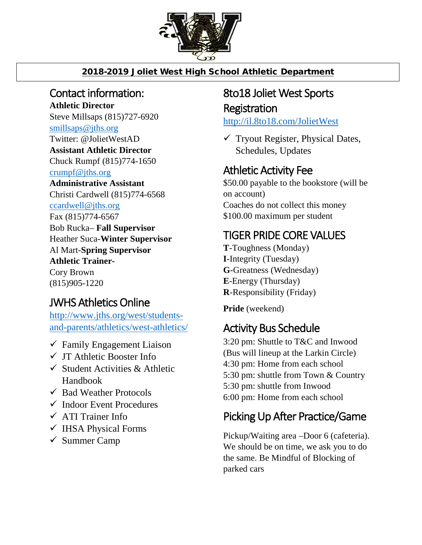

#### 2018-2019 Joliet West High School Athletic Department

#### Contact information:

**Athletic Director** Steve Millsaps (815)727-6920 [smillsaps@jths.org](mailto:smillsaps@jths.org) Twitter: @JolietWestAD **Assistant Athletic Director** Chuck Rumpf (815)774-1650 [crumpf@jths.org](mailto:crumpf@jths.org) **Administrative Assistant** Christi Cardwell (815)774-6568 [ccardwell@jths.org](mailto:ccardwell@jths.org) Fax (815)774-6567 Bob Rucka– **Fall Supervisor** Heather Suca-**Winter Supervisor** Al Mart-**Spring Supervisor Athletic Trainer-**Cory Brown (815)905-1220

## JWHS Athletics Online

[http://www.jths.org/west/students](http://www.jths.org/west/students-and-parents/athletics/west-athletics/)[and-parents/athletics/west-athletics/](http://www.jths.org/west/students-and-parents/athletics/west-athletics/)

- $\checkmark$  Family Engagement Liaison
- $\checkmark$  JT Athletic Booster Info
- $\checkmark$  Student Activities & Athletic Handbook
- $\checkmark$  Bad Weather Protocols
- $\checkmark$  Indoor Event Procedures
- $\checkmark$  ATI Trainer Info
- $\checkmark$  IHSA Physical Forms
- $\checkmark$  Summer Camp

## 8to18 Joliet West Sports Registration

<http://il.8to18.com/JolietWest>

 $\checkmark$  Tryout Register, Physical Dates, Schedules, Updates

## Athletic Activity Fee

\$50.00 payable to the bookstore (will be on account) Coaches do not collect this money \$100.00 maximum per student

## TIGER PRIDE CORE VALUES

**T**-Toughness (Monday) **I**-Integrity (Tuesday) **G**-Greatness (Wednesday) **E**-Energy (Thursday) **R**-Responsibility (Friday)

**Pride** (weekend)

# Activity Bus Schedule

3:20 pm: Shuttle to T&C and Inwood (Bus will lineup at the Larkin Circle) 4:30 pm: Home from each school 5:30 pm: shuttle from Town & Country 5:30 pm: shuttle from Inwood 6:00 pm: Home from each school

# Picking Up After Practice/Game

Pickup/Waiting area –Door 6 (cafeteria). We should be on time, we ask you to do the same. Be Mindful of Blocking of parked cars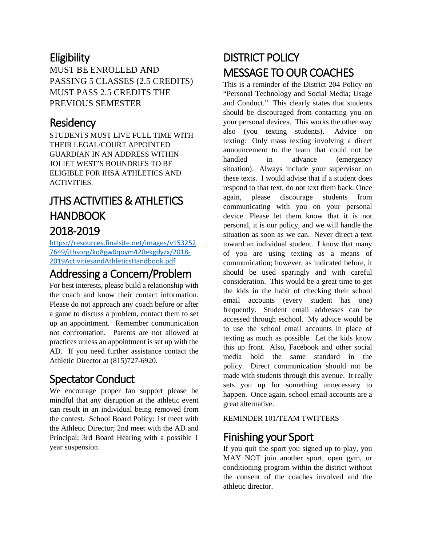#### **Eligibility**

MUST BE ENROLLED AND PASSING 5 CLASSES (2.5 CREDITS) MUST PASS 2.5 CREDITS THE PREVIOUS SEMESTER

#### **Residency**

STUDENTS MUST LIVE FULL TIME WITH THEIR LEGAL/COURT APPOINTED GUARDIAN IN AN ADDRESS WITHIN JOLIET WEST'S BOUNDRIES TO BE ELIGIBLE FOR IHSA ATHLETICS AND ACTIVITIES.

## JTHS ACTIVITIES & ATHLETICS **HANDBOOK** 2018-2019

[https://resources.finalsite.net/images/v153252](https://resources.finalsite.net/images/v1532527649/jthsorg/kq8gw0qoym420ekgdyzx/2018-2019ActivitiesandAthleticsHandbook.pdf) [7649/jthsorg/kq8gw0qoym420ekgdyzx/2018-](https://resources.finalsite.net/images/v1532527649/jthsorg/kq8gw0qoym420ekgdyzx/2018-2019ActivitiesandAthleticsHandbook.pdf) [2019ActivitiesandAthleticsHandbook.pdf](https://resources.finalsite.net/images/v1532527649/jthsorg/kq8gw0qoym420ekgdyzx/2018-2019ActivitiesandAthleticsHandbook.pdf)

## Addressing a Concern/Problem

For best interests, please build a relationship with the coach and know their contact information. Please do not approach any coach before or after a game to discuss a problem, contact them to set up an appointment. Remember communication not confrontation. Parents are not allowed at practices unless an appointment is set up with the AD. If you need further assistance contact the Athletic Director at (815)727-6920.

## Spectator Conduct

We encourage proper fan support please be mindful that any disruption at the athletic event can result in an individual being removed from the contest. School Board Policy: 1st meet with the Athletic Director; 2nd meet with the AD and Principal; 3rd Board Hearing with a possible 1 year suspension.

# DISTRICT POLICY MESSAGE TO OUR COACHES

This is a reminder of the District 204 Policy on "Personal Technology and Social Media; Usage and Conduct." This clearly states that students should be discouraged from contacting you on your personal devices. This works the other way also (you texting students). Advice on texting: Only mass texting involving a direct announcement to the team that could not be handled in advance (emergency situation). Always include your supervisor on these texts. I would advise that if a student does respond to that text, do not text them back. Once again, please discourage students from communicating with you on your personal device. Please let them know that it is not personal, it is our policy, and we will handle the situation as soon as we can. Never direct a text toward an individual student. I know that many of you are using texting as a means of communication; however, as indicated before, it should be used sparingly and with careful consideration. This would be a great time to get the kids in the habit of checking their school email accounts (every student has one) frequently. Student email addresses can be accessed through eschool. My advice would be to use the school email accounts in place of texting as much as possible. Let the kids know this up front. Also, Facebook and other social media hold the same standard in the policy. Direct communication should not be made with students through this avenue. It really sets you up for something unnecessary to happen. Once again, school email accounts are a great alternative.

REMINDER 101/TEAM TWITTERS

## Finishing your Sport

If you quit the sport you signed up to play, you MAY NOT join another sport, open gym, or conditioning program within the district without the consent of the coaches involved and the athletic director.